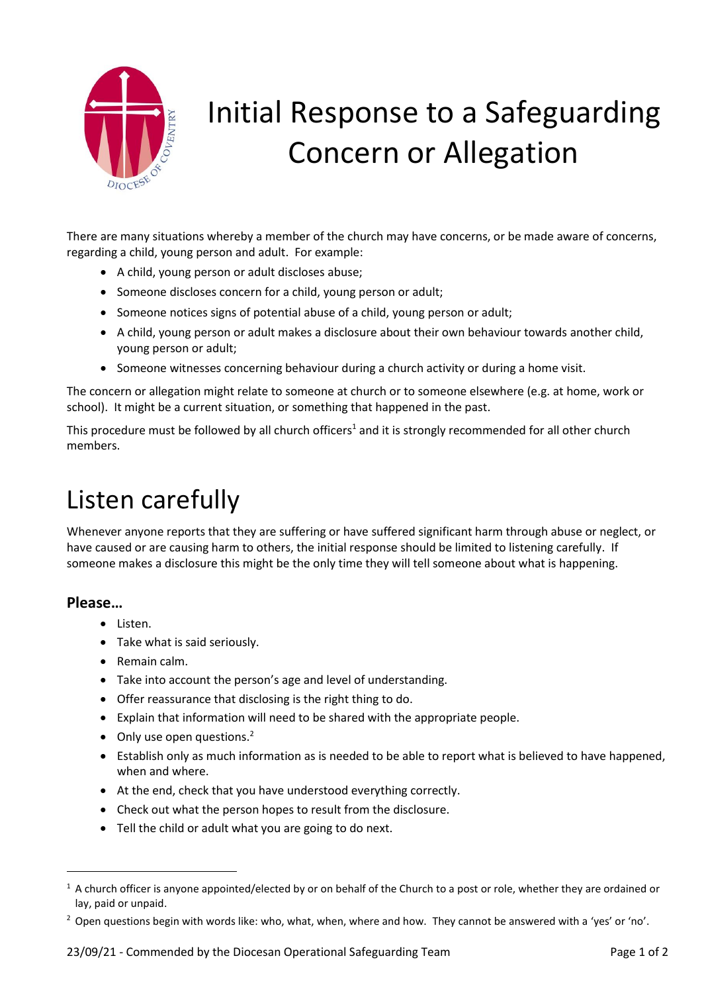

# Initial Response to a Safeguarding Concern or Allegation

There are many situations whereby a member of the church may have concerns, or be made aware of concerns, regarding a child, young person and adult. For example:

- A child, young person or adult discloses abuse;
- Someone discloses concern for a child, young person or adult;
- Someone notices signs of potential abuse of a child, young person or adult;
- A child, young person or adult makes a disclosure about their own behaviour towards another child, young person or adult;
- Someone witnesses concerning behaviour during a church activity or during a home visit.

The concern or allegation might relate to someone at church or to someone elsewhere (e.g. at home, work or school). It might be a current situation, or something that happened in the past.

This procedure must be followed by all church officers<sup>1</sup> and it is strongly recommended for all other church members.

## Listen carefully

Whenever anyone reports that they are suffering or have suffered significant harm through abuse or neglect, or have caused or are causing harm to others, the initial response should be limited to listening carefully. If someone makes a disclosure this might be the only time they will tell someone about what is happening.

#### **Please…**

**.** 

- Listen.
- Take what is said seriously.
- Remain calm.
- Take into account the person's age and level of understanding.
- Offer reassurance that disclosing is the right thing to do.
- Explain that information will need to be shared with the appropriate people.
- $\bullet$  Only use open questions.<sup>2</sup>
- Establish only as much information as is needed to be able to report what is believed to have happened, when and where.
- At the end, check that you have understood everything correctly.
- Check out what the person hopes to result from the disclosure.
- Tell the child or adult what you are going to do next.

 $1$  A church officer is anyone appointed/elected by or on behalf of the Church to a post or role, whether they are ordained or lay, paid or unpaid.

<sup>&</sup>lt;sup>2</sup> Open questions begin with words like: who, what, when, where and how. They cannot be answered with a 'yes' or 'no'.